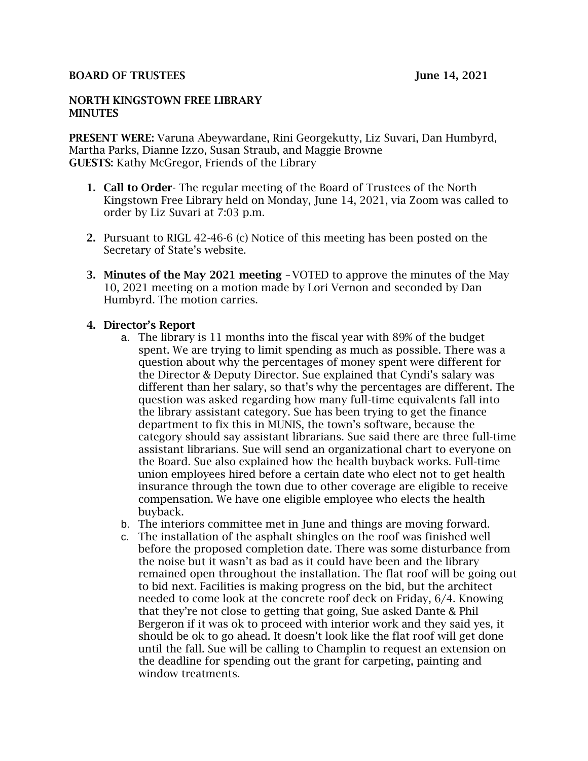#### BOARD OF TRUSTEES JUNE 14, 2021

#### NORTH KINGSTOWN FREE LIBRARY **MINUTES**

PRESENT WERE: Varuna Abeywardane, Rini Georgekutty, Liz Suvari, Dan Humbyrd, Martha Parks, Dianne Izzo, Susan Straub, and Maggie Browne GUESTS: Kathy McGregor, Friends of the Library

- 1. Call to Order- The regular meeting of the Board of Trustees of the North Kingstown Free Library held on Monday, June 14, 2021, via Zoom was called to order by Liz Suvari at 7:03 p.m.
- 2. Pursuant to RIGL 42-46-6 (c) Notice of this meeting has been posted on the Secretary of State's website.
- 3. Minutes of the May 2021 meeting –VOTED to approve the minutes of the May 10, 2021 meeting on a motion made by Lori Vernon and seconded by Dan Humbyrd. The motion carries.

#### 4. Director's Report

- a. The library is 11 months into the fiscal year with 89% of the budget spent. We are trying to limit spending as much as possible. There was a question about why the percentages of money spent were different for the Director & Deputy Director. Sue explained that Cyndi's salary was different than her salary, so that's why the percentages are different. The question was asked regarding how many full-time equivalents fall into the library assistant category. Sue has been trying to get the finance department to fix this in MUNIS, the town's software, because the category should say assistant librarians. Sue said there are three full-time assistant librarians. Sue will send an organizational chart to everyone on the Board. Sue also explained how the health buyback works. Full-time union employees hired before a certain date who elect not to get health insurance through the town due to other coverage are eligible to receive compensation. We have one eligible employee who elects the health buyback.
- b. The interiors committee met in June and things are moving forward.
- c. The installation of the asphalt shingles on the roof was finished well before the proposed completion date. There was some disturbance from the noise but it wasn't as bad as it could have been and the library remained open throughout the installation. The flat roof will be going out to bid next. Facilities is making progress on the bid, but the architect needed to come look at the concrete roof deck on Friday, 6/4. Knowing that they're not close to getting that going, Sue asked Dante & Phil Bergeron if it was ok to proceed with interior work and they said yes, it should be ok to go ahead. It doesn't look like the flat roof will get done until the fall. Sue will be calling to Champlin to request an extension on the deadline for spending out the grant for carpeting, painting and window treatments.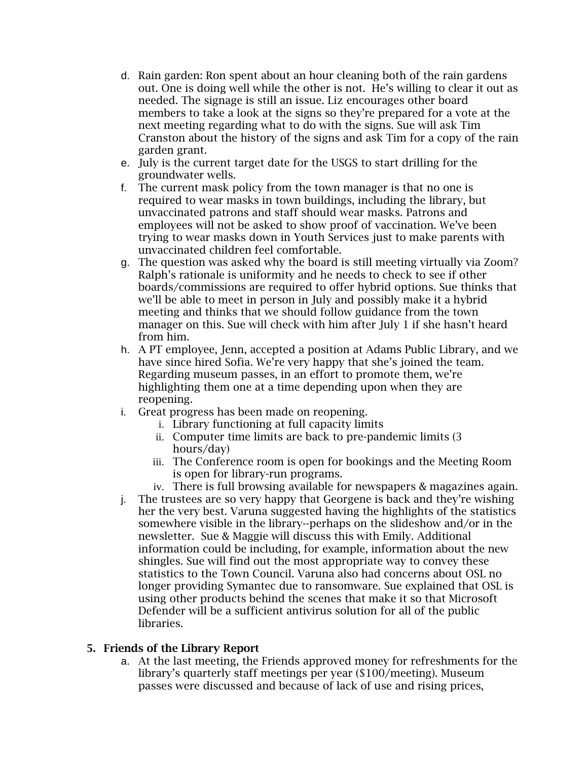- d. Rain garden: Ron spent about an hour cleaning both of the rain gardens out. One is doing well while the other is not. He's willing to clear it out as needed. The signage is still an issue. Liz encourages other board members to take a look at the signs so they're prepared for a vote at the next meeting regarding what to do with the signs. Sue will ask Tim Cranston about the history of the signs and ask Tim for a copy of the rain garden grant.
- e. July is the current target date for the USGS to start drilling for the groundwater wells.
- f. The current mask policy from the town manager is that no one is required to wear masks in town buildings, including the library, but unvaccinated patrons and staff should wear masks. Patrons and employees will not be asked to show proof of vaccination. We've been trying to wear masks down in Youth Services just to make parents with unvaccinated children feel comfortable.
- g. The question was asked why the board is still meeting virtually via Zoom? Ralph's rationale is uniformity and he needs to check to see if other boards/commissions are required to offer hybrid options. Sue thinks that we'll be able to meet in person in July and possibly make it a hybrid meeting and thinks that we should follow guidance from the town manager on this. Sue will check with him after July 1 if she hasn't heard from him.
- h. A PT employee, Jenn, accepted a position at Adams Public Library, and we have since hired Sofia. We're very happy that she's joined the team. Regarding museum passes, in an effort to promote them, we're highlighting them one at a time depending upon when they are reopening.
- i. Great progress has been made on reopening.
	- i. Library functioning at full capacity limits
	- ii. Computer time limits are back to pre-pandemic limits (3 hours/day)
	- iii. The Conference room is open for bookings and the Meeting Room is open for library-run programs.
	- iv. There is full browsing available for newspapers & magazines again.
- j. The trustees are so very happy that Georgene is back and they're wishing her the very best. Varuna suggested having the highlights of the statistics somewhere visible in the library--perhaps on the slideshow and/or in the newsletter. Sue & Maggie will discuss this with Emily. Additional information could be including, for example, information about the new shingles. Sue will find out the most appropriate way to convey these statistics to the Town Council. Varuna also had concerns about OSL no longer providing Symantec due to ransomware. Sue explained that OSL is using other products behind the scenes that make it so that Microsoft Defender will be a sufficient antivirus solution for all of the public libraries.

# 5. Friends of the Library Report

a. At the last meeting, the Friends approved money for refreshments for the library's quarterly staff meetings per year (\$100/meeting). Museum passes were discussed and because of lack of use and rising prices,